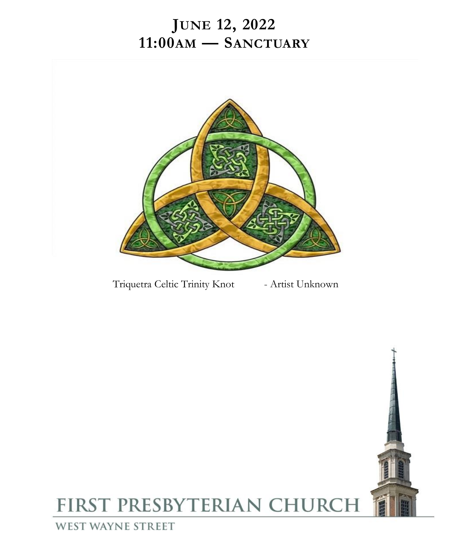# **JUNE 12, 2022 11:00AM — SANCTUARY**



Triquetra Celtic Trinity Knot - Artist Unknown

# FIRST PRESBYTERIAN CHURCH

**WEST WAYNE STREET**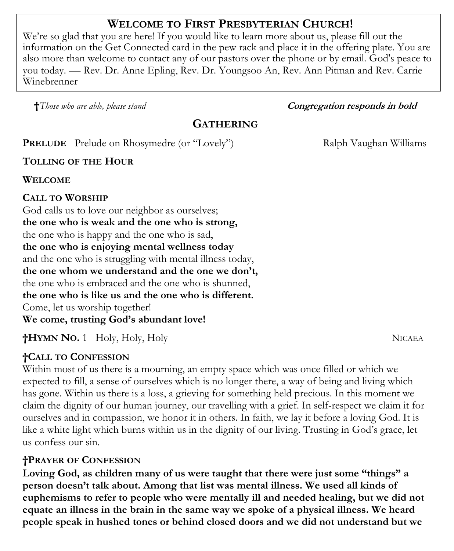# **WELCOME TO FIRST PRESBYTERIAN CHURCH!**

We're so glad that you are here! If you would like to learn more about us, please fill out the information on the Get Connected card in the pew rack and place it in the offering plate. You are also more than welcome to contact any of our pastors over the phone or by email. God's peace to you today. — Rev. Dr. Anne Epling, Rev. Dr. Youngsoo An, Rev. Ann Pitman and Rev. Carrie Winebrenner

**†***Those who are able, please stand Congregation responds in bold* 

# **GATHERING**

**PRELUDE** Prelude on Rhosymedre (or "Lovely") Ralph Vaughan Williams

**TOLLING OF THE HOUR**

**WELCOME**

## **CALL TO WORSHIP**

God calls us to love our neighbor as ourselves; **the one who is weak and the one who is strong,** the one who is happy and the one who is sad, **the one who is enjoying mental wellness today** and the one who is struggling with mental illness today, **the one whom we understand and the one we don't,** the one who is embraced and the one who is shunned, **the one who is like us and the one who is different.** Come, let us worship together! **We come, trusting God's abundant love!** 

**†HYMN NO.** 1 Holy, Holy, Holy NICAEA

## **†CALL TO CONFESSION**

Within most of us there is a mourning, an empty space which was once filled or which we expected to fill, a sense of ourselves which is no longer there, a way of being and living which has gone. Within us there is a loss, a grieving for something held precious. In this moment we claim the dignity of our human journey, our travelling with a grief. In self-respect we claim it for ourselves and in compassion, we honor it in others. In faith, we lay it before a loving God. It is like a white light which burns within us in the dignity of our living. Trusting in God's grace, let us confess our sin.

## **†PRAYER OF CONFESSION**

**Loving God, as children many of us were taught that there were just some "things" a person doesn't talk about. Among that list was mental illness. We used all kinds of euphemisms to refer to people who were mentally ill and needed healing, but we did not equate an illness in the brain in the same way we spoke of a physical illness. We heard people speak in hushed tones or behind closed doors and we did not understand but we**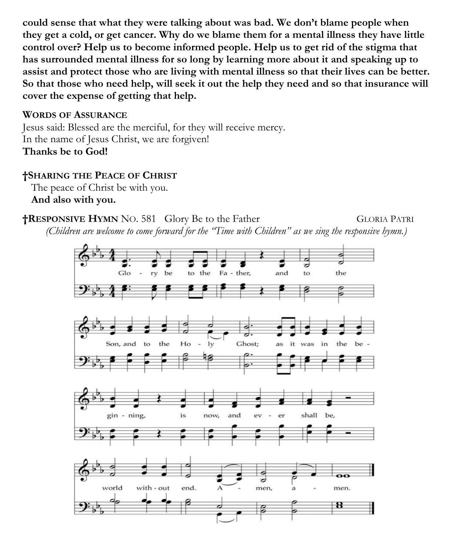**could sense that what they were talking about was bad. We don't blame people when they get a cold, or get cancer. Why do we blame them for a mental illness they have little control over? Help us to become informed people. Help us to get rid of the stigma that has surrounded mental illness for so long by learning more about it and speaking up to assist and protect those who are living with mental illness so that their lives can be better. So that those who need help, will seek it out the help they need and so that insurance will cover the expense of getting that help.** 

#### **WORDS OF ASSURANCE**

Jesus said: Blessed are the merciful, for they will receive mercy. In the name of Jesus Christ, we are forgiven! **Thanks be to God!**

### **†SHARING THE PEACE OF CHRIST**

The peace of Christ be with you. **And also with you.**

#### **†RESPONSIVE HYMN** NO. 581 Glory Be to the Father GLORIA PATRI

*(Children are welcome to come forward for the "Time with Children" as we sing the responsive hymn.)*

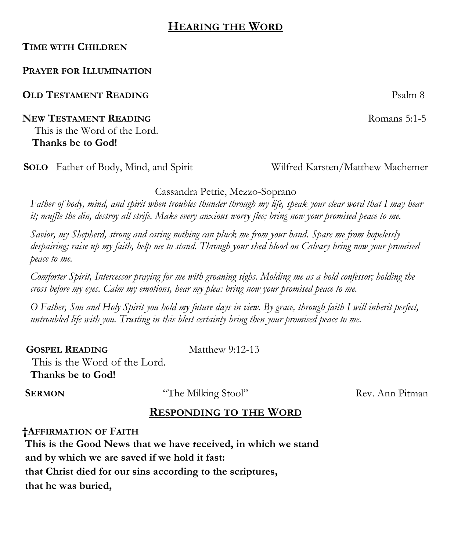## **HEARING THE WORD**

#### **TIME WITH CHILDREN**

#### **PRAYER FOR ILLUMINATION**

**OLD TESTAMENT READING** Psalm 8

**NEW TESTAMENT READING** Romans 5:1-5 This is the Word of the Lord.

**Thanks be to God!** 

**SOLO** Father of Body, Mind, and Spirit Wilfred Karsten/Matthew Machemer

#### Cassandra Petrie, Mezzo-Soprano

*Father of body, mind, and spirit when troubles thunder through my life, speak your clear word that I may hear it; muffle the din, destroy all strife. Make every anxious worry flee; bring now your promised peace to me.*

*Savior, my Shepherd, strong and caring nothing can pluck me from your hand. Spare me from hopelessly despairing; raise up my faith, help me to stand. Through your shed blood on Calvary bring now your promised peace to me.*

*Comforter Spirit, Intercessor praying for me with groaning sighs. Molding me as a bold confessor; holding the cross before my eyes. Calm my emotions, hear my plea: bring now your promised peace to me.*

*O Father, Son and Holy Spirit you hold my future days in view. By grace, through faith I will inherit perfect, untroubled life with you. Trusting in this blest certainty bring then your promised peace to me.*

**GOSPEL READING** Matthew 9:12-13 This is the Word of the Lord.  **Thanks be to God!** 

**SERMON** "The Milking Stool"Rev. Ann Pitman

### **RESPONDING TO THE WORD**

**†AFFIRMATION OF FAITH This is the Good News that we have received, in which we stand and by which we are saved if we hold it fast: that Christ died for our sins according to the scriptures, that he was buried,**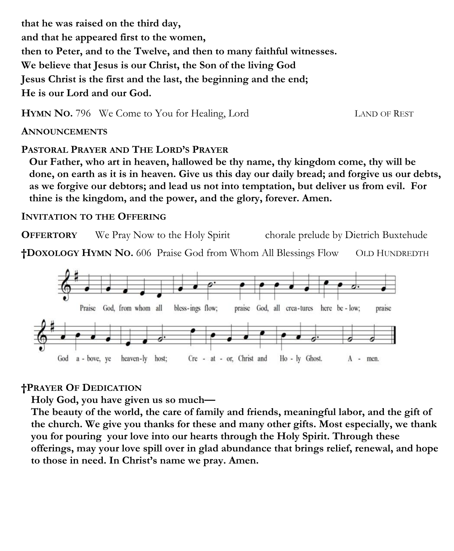**that he was raised on the third day, and that he appeared first to the women, then to Peter, and to the Twelve, and then to many faithful witnesses. We believe that Jesus is our Christ, the Son of the living God Jesus Christ is the first and the last, the beginning and the end; He is our Lord and our God.** 

**HYMN NO.** 796 We Come to You for Healing, Lord LAND OF REST

**ANNOUNCEMENTS**

#### **PASTORAL PRAYER AND THE LORD'S PRAYER**

**Our Father, who art in heaven, hallowed be thy name, thy kingdom come, thy will be done, on earth as it is in heaven. Give us this day our daily bread; and forgive us our debts, as we forgive our debtors; and lead us not into temptation, but deliver us from evil. For thine is the kingdom, and the power, and the glory, forever. Amen.**

#### **INVITATION TO THE OFFERING**

**OFFERTORY** We Pray Now to the Holy Spirit chorale prelude by Dietrich Buxtehude **†DOXOLOGY HYMN NO.** 606 Praise God from Whom All Blessings Flow OLD HUNDREDTH



#### **†PRAYER OF DEDICATION**

**Holy God, you have given us so much—**

**The beauty of the world, the care of family and friends, meaningful labor, and the gift of the church. We give you thanks for these and many other gifts. Most especially, we thank you for pouring your love into our hearts through the Holy Spirit. Through these offerings, may your love spill over in glad abundance that brings relief, renewal, and hope to those in need. In Christ's name we pray. Amen.**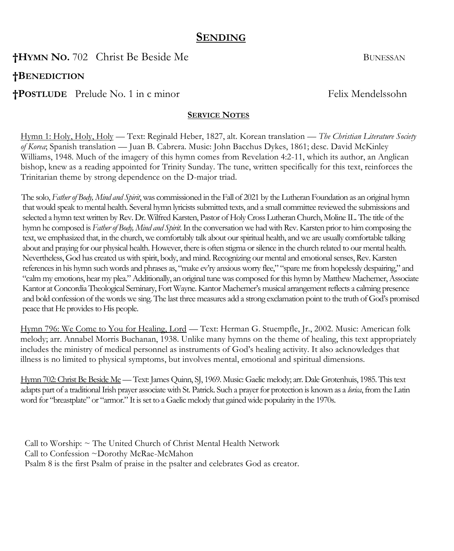## **SENDING**

**†HYMN NO**. 702 Christ Be Beside Me BUNESSAN

**†BENEDICTION** 

**†POSTLUDE** Prelude No. 1 in c minor Felix Mendelssohn

#### **SERVICE NOTES**

Hymn 1: Holy, Holy, Holy — Text: Reginald Heber, 1827, alt. Korean translation — *The Christian Literature Society of Korea*; Spanish translation — Juan B. Cabrera. Music: John Bacchus Dykes, 1861; desc. David McKinley Williams, 1948. Much of the imagery of this hymn comes from Revelation 4:2-11, which its author, an Anglican bishop, knew as a reading appointed for Trinity Sunday. The tune, written specifically for this text, reinforces the Trinitarian theme by strong dependence on the D-major triad.

The solo, *Father of Body, Mind and Spirit*, was commissioned in the Fall of 2021 by the Lutheran Foundation as an original hymn that would speak to mental health. Several hymn lyricists submitted texts, and a small committee reviewed the submissions and selected a hymn text written by Rev. Dr. Wilfred Karsten, Pastor of Holy Cross Lutheran Church, Moline IL. The title of the hymn he composed is *Father of Body, Mind and Spirit*. In the conversation we had with Rev. Karsten prior to him composing the text, we emphasized that, in the church, we comfortably talk about our spiritual health, and we are usually comfortable talking about and praying for our physical health. However, there is often stigma or silence in the church related to our mental health. Nevertheless, God has created us with spirit, body, and mind. Recognizing our mental and emotional senses, Rev. Karsten references in his hymn such words and phrases as, "make ev'ry anxious worry flee," "spare me from hopelessly despairing," and "calm my emotions, hear my plea." Additionally, an original tune was composed for this hymn by Matthew Machemer, Associate Kantor at Concordia Theological Seminary, Fort Wayne. Kantor Machemer's musical arrangement reflects a calming presence and bold confession of the words we sing. The last three measures add a strong exclamation point to the truth of God's promised peace that He provides to His people.

Hymn 796: We Come to You for Healing, Lord — Text: Herman G. Stuempfle, Jr., 2002. Music: American folk melody; arr. Annabel Morris Buchanan, 1938. Unlike many hymns on the theme of healing, this text appropriately includes the ministry of medical personnel as instruments of God's healing activity. It also acknowledges that illness is no limited to physical symptoms, but involves mental, emotional and spiritual dimensions.

Hymn 702: Christ Be Beside Me— Text: James Quinn, SJ, 1969. Music: Gaelic melody; arr. Dale Grotenhuis, 1985. This text adapts part of a traditional Irish prayer associate with St. Patrick. Such a prayer for protection is known as a *lorica*, from the Latin word for "breastplate" or "armor." It is set to a Gaelic melody that gained wide popularity in the 1970s.

Call to Worship: ~ The United Church of Christ Mental Health Network Call to Confession ~Dorothy McRae-McMahon Psalm 8 is the first Psalm of praise in the psalter and celebrates God as creator.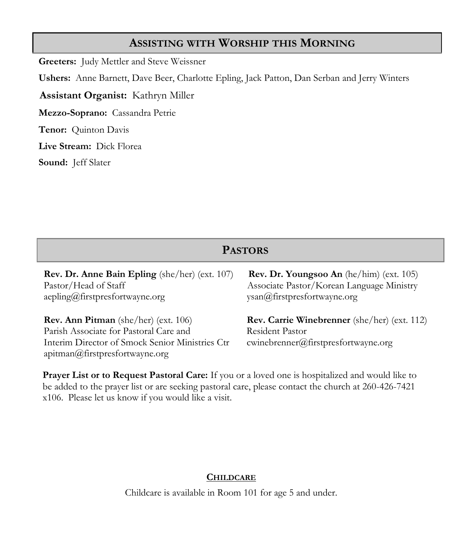## **ASSISTING WITH WORSHIP THIS MORNING**

**Greeters:** Judy Mettler and Steve Weissner

**Ushers:** Anne Barnett, Dave Beer, Charlotte Epling, Jack Patton, Dan Serban and Jerry Winters

**Assistant Organist:** Kathryn Miller

**Mezzo-Soprano:** Cassandra Petrie

**Tenor:** Quinton Davis

**Live Stream:** Dick Florea

**Sound:** Jeff Slater

## **PASTORS**

**Rev. Dr. Anne Bain Epling** (she/her) (ext. 107) **Rev. Dr. Youngsoo An** (he/him) (ext. 105) Pastor/Head of Staff Associate Pastor/Korean Language Ministry [aepling@firstpresfortwayne.org](mailto:aepling@firstpresfortwayne.org) ysan@firstpresfortwayne.org

**Rev. Ann Pitman** (she/her) (ext. 106) **Rev. Carrie Winebrenner** (she/her) (ext. 112) Parish Associate for Pastoral Care and Resident Pastor Interim Director of Smock Senior Ministries Ctr cwinebrenner@firstpresfortwayne.org apitman@firstpresfortwayne.org

**Prayer List or to Request Pastoral Care:** If you or a loved one is hospitalized and would like to be added to the prayer list or are seeking pastoral care, please contact the church at 260-426-7421 x106. Please let us know if you would like a visit.

#### **CHILDCARE**

Childcare is available in Room 101 for age 5 and under.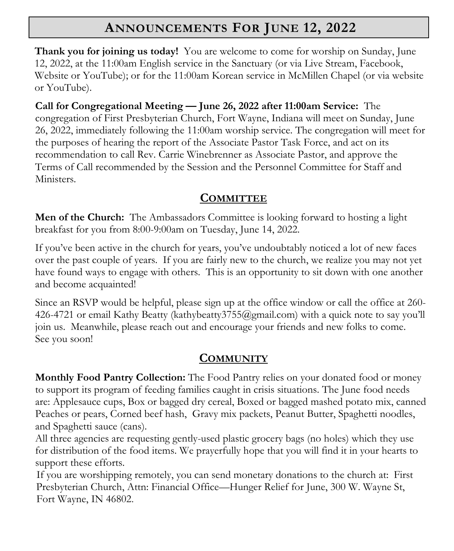# **ANNOUNCEMENTS FOR JUNE 12, 2022**

**Thank you for joining us today!** You are welcome to come for worship on Sunday, June 12, 2022, at the 11:00am English service in the Sanctuary (or via Live Stream, Facebook, Website or YouTube); or for the 11:00am Korean service in McMillen Chapel (or via website or YouTube).

**Call for Congregational Meeting — June 26, 2022 after 11:00am Service:** The congregation of First Presbyterian Church, Fort Wayne, Indiana will meet on Sunday, June 26, 2022, immediately following the 11:00am worship service. The congregation will meet for the purposes of hearing the report of the Associate Pastor Task Force, and act on its recommendation to call Rev. Carrie Winebrenner as Associate Pastor, and approve the Terms of Call recommended by the Session and the Personnel Committee for Staff and Ministers.

# **COMMITTEE**

**Men of the Church:** The Ambassadors Committee is looking forward to hosting a light breakfast for you from 8:00-9:00am on Tuesday, June 14, 2022.

If you've been active in the church for years, you've undoubtably noticed a lot of new faces over the past couple of years. If you are fairly new to the church, we realize you may not yet have found ways to engage with others. This is an opportunity to sit down with one another and become acquainted!

Since an RSVP would be helpful, please sign up at the office window or call the office at 260- 426-4721 or email Kathy Beatty ([kathybeatty3755@gmail.com\)](mailto:kathybeatty3755@gmail.com) with a quick note to say you'll join us. Meanwhile, please reach out and encourage your friends and new folks to come. See you soon!

# **COMMUNITY**

**Monthly Food Pantry Collection:** The Food Pantry relies on your donated food or money to support its program of feeding families caught in crisis situations. The June food needs are: Applesauce cups, Box or bagged dry cereal, Boxed or bagged mashed potato mix, canned Peaches or pears, Corned beef hash, Gravy mix packets, Peanut Butter, Spaghetti noodles, and Spaghetti sauce (cans).

All three agencies are requesting gently-used plastic grocery bags (no holes) which they use for distribution of the food items. We prayerfully hope that you will find it in your hearts to support these efforts.

 If you are worshipping remotely, you can send monetary donations to the church at: First Presbyterian Church, Attn: Financial Office—Hunger Relief for June, 300 W. Wayne St, Fort Wayne, IN 46802.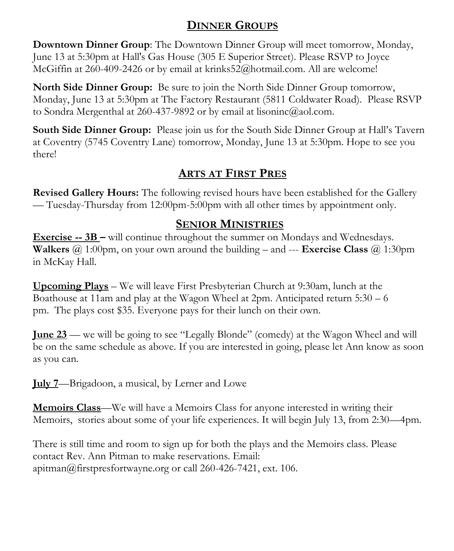# **DINNER GROUPS**

**Downtown Dinner Group**: The Downtown Dinner Group will meet tomorrow, Monday, June 13 at 5:30pm at Hall's Gas House (305 E Superior Street). Please RSVP to Joyce McGiffin at 260-409-2426 or by email at krinks52@hotmail.com. All are welcome!

**North Side Dinner Group:** Be sure to join the North Side Dinner Group tomorrow, Monday, June 13 at 5:30pm at The Factory Restaurant (5811 Coldwater Road). Please RSVP to Sondra Mergenthal at 260-437-9892 or by email at lisoninc@aol.com.

**South Side Dinner Group:** Please join us for the South Side Dinner Group at Hall's Tavern at Coventry (5745 Coventry Lane) tomorrow, Monday, June 13 at 5:30pm. Hope to see you there!

# **ARTS AT FIRST PRES**

**Revised Gallery Hours:** The following revised hours have been established for the Gallery — Tuesday-Thursday from 12:00pm-5:00pm with all other times by appointment only.

# **SENIOR MINISTRIES**

**Exercise -- 3B –** will continue throughout the summer on Mondays and Wednesdays. **Walkers** @ 1:00pm, on your own around the building – and --- **Exercise Class** @ 1:30pm in McKay Hall.

**Upcoming Plays** – We will leave First Presbyterian Church at 9:30am, lunch at the Boathouse at 11am and play at the Wagon Wheel at 2pm. Anticipated return 5:30 – 6 pm. The plays cost \$35. Everyone pays for their lunch on their own.

**June 23** — we will be going to see "Legally Blonde" (comedy) at the Wagon Wheel and will be on the same schedule as above. If you are interested in going, please let Ann know as soon as you can.

**July 7**—Brigadoon, a musical, by Lerner and Lowe

**Memoirs Class**—We will have a Memoirs Class for anyone interested in writing their Memoirs, stories about some of your life experiences. It will begin July 13, from 2:30—4pm.

There is still time and room to sign up for both the plays and the Memoirs class. Please contact Rev. Ann Pitman to make reservations. Email: apitman@firstpresfortwayne.org or call 260-426-7421, ext. 106.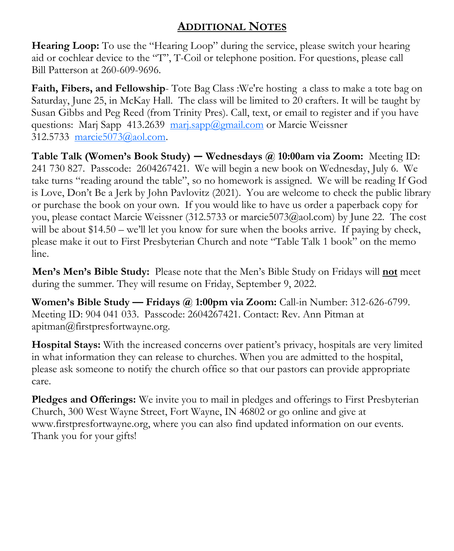# **ADDITIONAL NOTES**

**Hearing Loop:** To use the "Hearing Loop" during the service, please switch your hearing aid or cochlear device to the "T", T-Coil or telephone position. For questions, please call Bill Patterson at 260-609-9696.

**Faith, Fibers, and Fellowship**- Tote Bag Class :We're hosting a class to make a tote bag on Saturday, June 25, in McKay Hall. The class will be limited to 20 crafters. It will be taught by Susan Gibbs and Peg Reed (from Trinity Pres). Call, text, or email to register and if you have questions: Marj Sapp 413.2639 [marj.sapp@gmail.com](mailto:marj.sapp@gmail.com) or Marcie Weissner 312.5733 marcie5073@aol.com.

**Table Talk (Women's Book Study) — Wednesdays @ 10:00am via Zoom:** Meeting ID: 241 730 827. Passcode: 2604267421. We will begin a new book on Wednesday, July 6. We take turns "reading around the table", so no homework is assigned. We will be reading If God is Love, Don't Be a Jerk by John Pavlovitz (2021). You are welcome to check the public library or purchase the book on your own. If you would like to have us order a paperback copy for you, please contact Marcie Weissner (312.5733 or marcie5073@aol.com) by June 22. The cost will be about \$14.50 – we'll let you know for sure when the books arrive. If paying by check, please make it out to First Presbyterian Church and note "Table Talk 1 book" on the memo line.

**Men's Men's Bible Study:** Please note that the Men's Bible Study on Fridays will **not** meet during the summer. They will resume on Friday, September 9, 2022.

**Women's Bible Study — Fridays @ 1:00pm via Zoom:** Call-in Number: 312-626-6799. Meeting ID: 904 041 033. Passcode: 2604267421. Contact: Rev. Ann Pitman at [apitman@firstpresfortwayne.org.](mailto:apitman@firstpresfortwayne.org)

**Hospital Stays:** With the increased concerns over patient's privacy, hospitals are very limited in what information they can release to churches. When you are admitted to the hospital, please ask someone to notify the church office so that our pastors can provide appropriate care.

**Pledges and Offerings:** We invite you to mail in pledges and offerings to First Presbyterian Church, 300 West Wayne Street, Fort Wayne, IN 46802 or go online and give at www.firstpresfortwayne.org, where you can also find updated information on our events. Thank you for your gifts!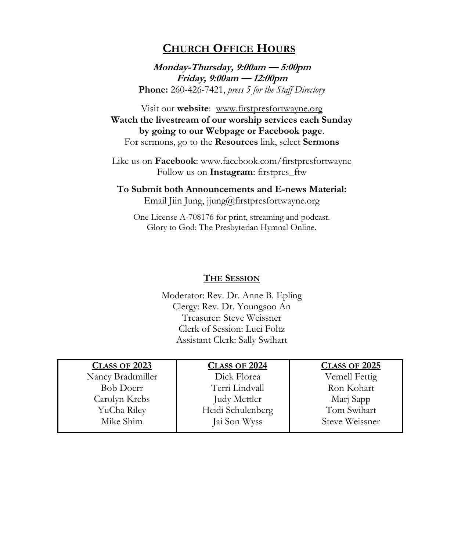## **CHURCH OFFICE HOURS**

**Monday-Thursday, 9:00am — 5:00pm Friday, 9:00am — 12:00pm Phone:** 260-426-7421, *press 5 for the Staff Directory*

Visit our **website**: www.firstpresfortwayne.org **Watch the livestream of our worship services each Sunday by going to our Webpage or Facebook page**. For sermons, go to the **Resources** link, select **Sermons**

Like us on **Facebook**: www.facebook.com/firstpresfortwayne Follow us on **Instagram**: firstpres\_ftw

**To Submit both Announcements and E-news Material:**  Email Jiin Jung, jjung@firstpresfortwayne.org

One License A-708176 for print, streaming and podcast. Glory to God: The Presbyterian Hymnal Online.

#### **THE SESSION**

Moderator: Rev. Dr. Anne B. Epling Clergy: Rev. Dr. Youngsoo An Treasurer: Steve Weissner Clerk of Session: Luci Foltz Assistant Clerk: Sally Swihart

| <b>CLASS OF 2023</b> | <b>CLASS OF 2024</b> | <b>CLASS OF 2025</b> |
|----------------------|----------------------|----------------------|
| Nancy Bradtmiller    | Dick Florea          | Vemell Fettig        |
| <b>Bob Doerr</b>     | Terri Lindvall       | Ron Kohart           |
| Carolyn Krebs        | Judy Mettler         | Marj Sapp            |
| YuCha Riley          | Heidi Schulenberg    | Tom Swihart          |
| Mike Shim            | Jai Son Wyss         | Steve Weissner       |
|                      |                      |                      |